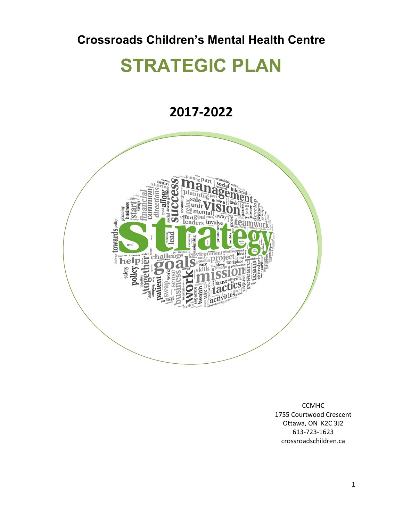## **Crossroads Children's Mental Health Centre**

# **STRATEGIC PLAN**

## **2017-2022**



CCMHC 1755 Courtwood Crescent Ottawa, ON K2C 3J2 613-723-1623 crossroadschildren.ca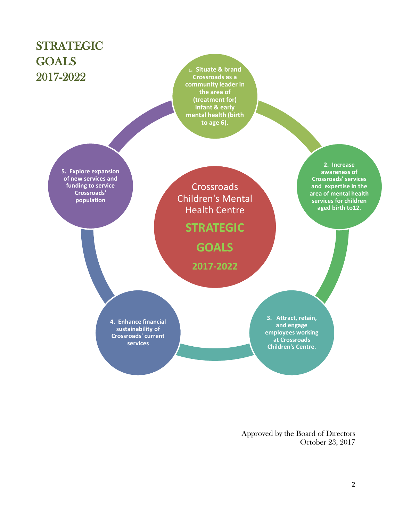

Approved by the Board of Directors October 23, 2017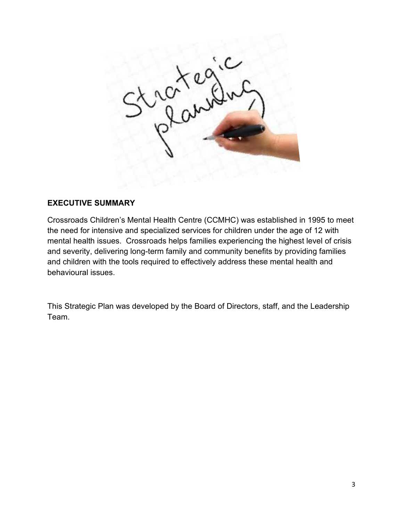

#### **EXECUTIVE SUMMARY**

Crossroads Children's Mental Health Centre (CCMHC) was established in 1995 to meet the need for intensive and specialized services for children under the age of 12 with mental health issues. Crossroads helps families experiencing the highest level of crisis and severity, delivering long-term family and community benefits by providing families and children with the tools required to effectively address these mental health and behavioural issues.

This Strategic Plan was developed by the Board of Directors, staff, and the Leadership Team.